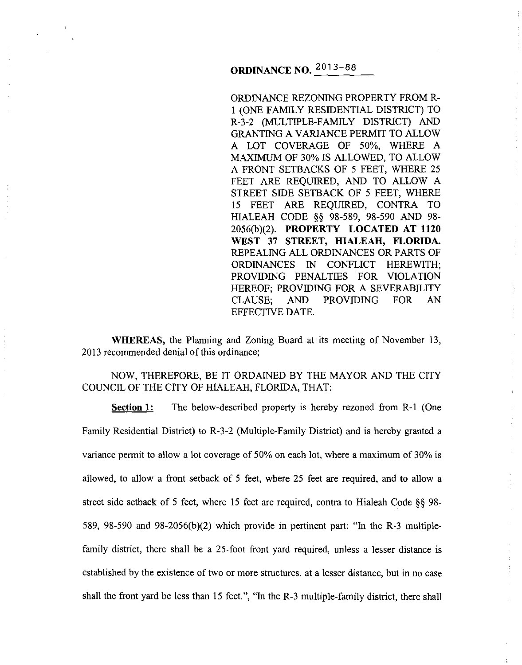ORDINANCE REZONING PROPERTY FROM R-1 (ONE FAMILY RESIDENTIAL DISTRICT) TO R-3-2 (MULTIPLE-FAMILY DISTRICT) AND GRANTING A VARIANCE PERMIT TO ALLOW A LOT COVERAGE OF 50%, WHERE A MAXIMUM OF 30% IS ALLOWED, TO ALLOW A FRONT SETBACKS OF 5 FEET, WHERE 25 FEET ARE REQUIRED, AND TO ALLOW A STREET SIDE SETBACK OF 5 FEET, WHERE 15 FEET ARE REQUIRED, CONTRA TO HIALEAH CODE §§ 98-589, 98-590 AND 98- 2056(b)(2). **PROPERTY LOCATED AT 1120 WEST 37 STREET, HIALEAH, FLORIDA.**  REPEALING ALL ORDINANCES OR PARTS OF ORDINANCES IN CONFLICT HEREWITH; PROVIDING PENALTIES FOR VIOLATION HEREOF; PROVIDING FOR A SEVERABILITY CLAUSE; AND PROVIDING FOR AN EFFECTIVE DATE.

 $\bar{\psi}$ 

÷.

÷.

 $\begin{array}{ccc}\n\frac{1}{2} & \frac{1}{2} & \frac{1}{2} & \frac{1}{2} & \frac{1}{2} & \frac{1}{2} & \frac{1}{2} & \frac{1}{2} & \frac{1}{2} & \frac{1}{2} & \frac{1}{2} & \frac{1}{2} & \frac{1}{2} & \frac{1}{2} & \frac{1}{2} & \frac{1}{2} & \frac{1}{2} & \frac{1}{2} & \frac{1}{2} & \frac{1}{2} & \frac{1}{2} & \frac{1}{2} & \frac{1}{2} & \frac{1}{2} & \frac{1}{2} & \frac{1}{2} & \frac{1$ 

**WHEREAS,** the Planning and Zoning Board at its meeting of November 13, 2013 recommended denial of this ordinance;

NOW, THEREFORE, BE IT ORDAINED BY THE MAYOR AND THE CITY COUNCIL OF THE CITY OF HIALEAH, FLORIDA, THAT:

**Section 1:** The below-described property is hereby rezoned from R-1 (One Family Residential District) to R-3-2 (Multiple-Family District) and is hereby granted a variance permit to allow a lot coverage of 50% on each lot, where a maximum of 30% is allowed, to allow a front setback of 5 feet, where 25 feet are required, and to allow a street side setback of 5 feet, where 15 feet are required, contra to Hialeah Code § § 98-589, 98-590 and 98-2056(b)(2) which provide in pertinent part: "In the R-3 multiplefamily district, there shall be a 25-foot front yard required, unless a lesser distance is established by the existence of two or more structures, at a lesser distance, but in no case shall the front yard be less than 15 feet.", "In the R-3 multiple-family district, there shall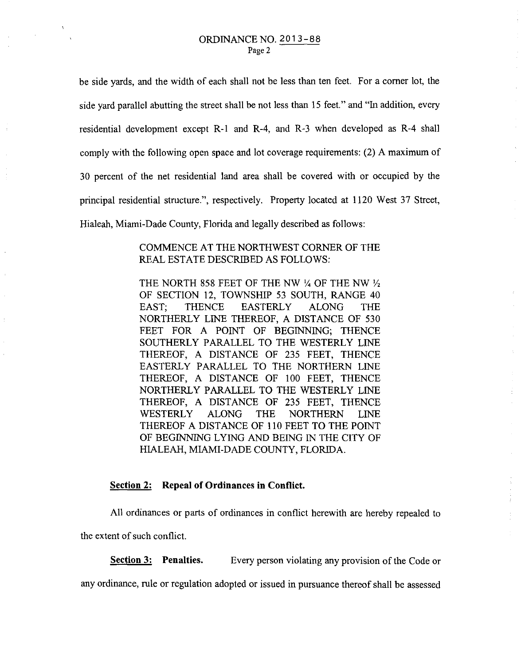$\mathcal{L}^{(1)}$ 

be side yards, and the width of each shall not be less than ten feet. For a corner lot, the side yard parallel abutting the street shall be not less than 15 feet." and "In addition, every residential development except R-1 and R-4, and R-3 when developed as R-4 shall comply with the following open space and lot coverage requirements: (2) A maximum of 30 percent of the net residential land area shall be covered with or occupied by the principal residential structure.", respectively. Property located at 1120 West 37 Street, Hialeah, Miami-Dade County, Florida and legally described as follows:

## COMMENCE AT THE NORTHWEST CORNER OF THE REAL ESTATE DESCRIBED AS FOLLOWS:

THE NORTH 858 FEET OF THE NW  $\frac{1}{4}$  OF THE NW  $\frac{1}{2}$ OF SECTION 12, TOWNSHIP 53 SOUTH, RANGE 40 EAST; THENCE EASTERLY ALONG THE NORTHERLY LINE THEREOF, A DISTANCE OF 530 FEET FOR A POINT OF BEGINNING; THENCE SOUTHERLY PARALLEL TO THE WESTERLY LINE THEREOF, A DISTANCE OF 235 FEET, THENCE EASTERLY PARALLEL TO THE NORTHERN LINE THEREOF, A DISTANCE OF 100 FEET, THENCE NORTHERLY PARALLEL TO THE WESTERLY LINE THEREOF, A DISTANCE OF 235 FEET, THENCE WESTERLY ALONG THE NORTHERN LINE THEREOF A DISTANCE OF 110 FEET TO THE POINT OF BEGINNING LYING AND BEING IN THE CITY OF HIALEAH, MIAMI-DADE COUNTY, FLORIDA.

## **Section 2: Repeal of Ordinances in Conflict.**

All ordinances or parts of ordinances in conflict herewith are hereby repealed to the extent of such conflict.

**Section 3:** Penalties. Every person violating any provision of the Code or

 $\begin{array}{c} 1 \\ 1 \\ 2 \\ 3 \end{array}$ 

any ordinance, rule or regulation adopted or issued in pursuance thereof shall be assessed